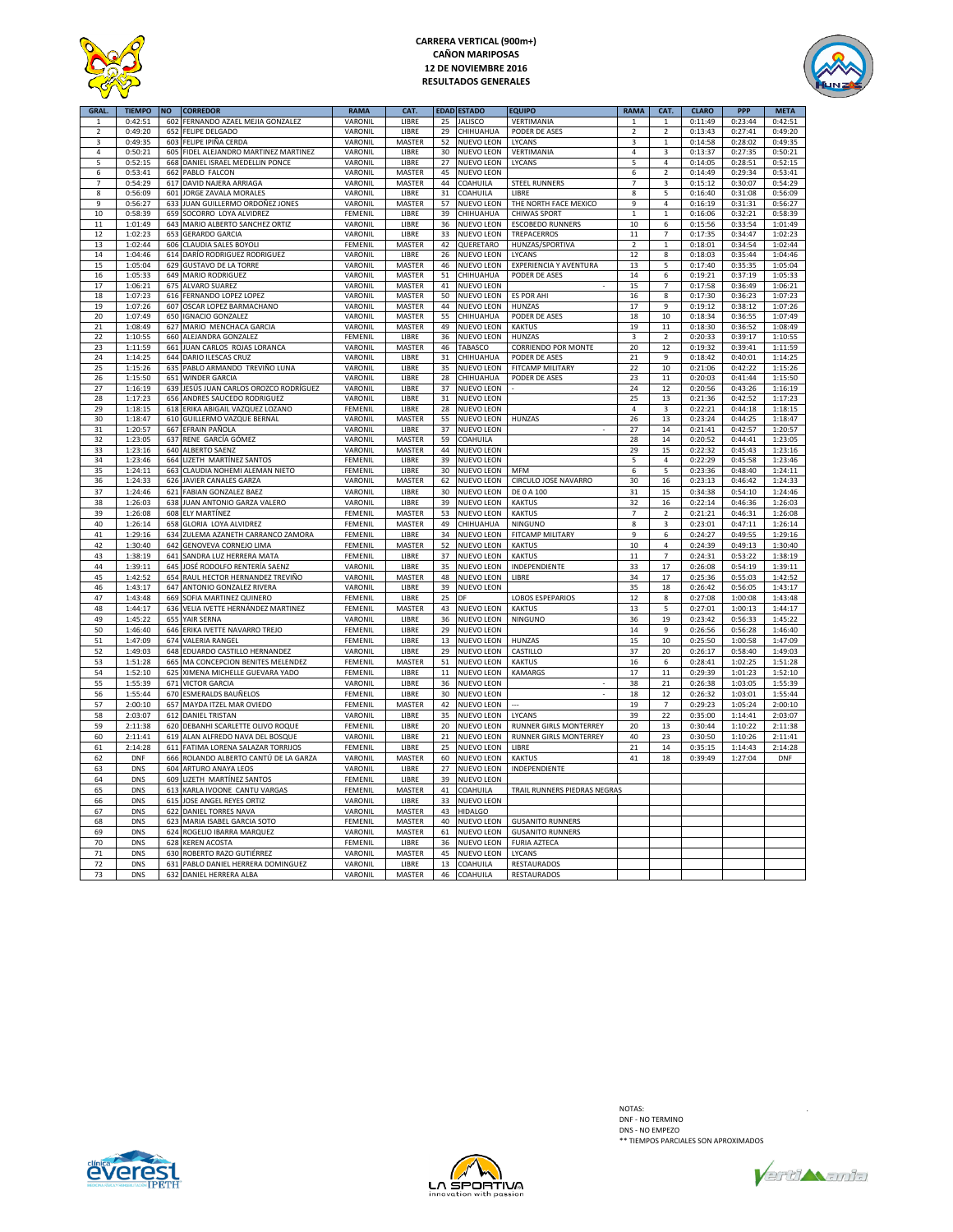

## **CARRERA VERTICAL (900m+) CAÑON MARIPOSAS 12 DE NOVIEMBRE 2016 RESULTADOS GENERALES**



| <b>GRAI</b>    | <b>TIEMPO</b> | <b>NO</b> | <b>CORREDOR</b>                    | <b>RAMA</b> | CAT.          |    | EDAD ESTADO       | EQUIPO                       | <b>RAMA</b>    | CAT.                    | <b>CLARO</b> | PPP     | <b>META</b> |
|----------------|---------------|-----------|------------------------------------|-------------|---------------|----|-------------------|------------------------------|----------------|-------------------------|--------------|---------|-------------|
| 1              | 0:42:51       | 602       | FERNANDO AZAEL MEJIA GONZALEZ      | VARONIL     | LIBRE         | 25 | <b>JALISCO</b>    | VERTIMANIA                   | $\mathbf{1}$   | $\mathbf{1}$            | 0:11:49      | 0:23:44 | 0:42:51     |
| $\overline{2}$ | 0:49:20       | 652       | <b>FELIPE DELGADO</b>              | VARONIL     | LIBRE         | 29 | CHIHUAHUA         | PODER DE ASES                | $\overline{2}$ | $\overline{2}$          | 0:13:43      | 0:27:41 | 0:49:20     |
| 3              | 0:49:35       | 603       | FELIPE IPIÑA CERDA                 | VARONIL     | <b>MASTER</b> | 52 | <b>NUEVO LEON</b> | LYCANS                       | 3              | $\overline{1}$          | 0:14:58      | 0:28:02 | 0:49:35     |
|                |               |           |                                    |             |               |    |                   |                              |                |                         |              |         |             |
| 4              | 0:50:21       | 605       | FIDEL ALEJANDRO MARTINEZ MARTINEZ  | VARONIL     | LIBRE         | 30 | <b>NUEVO LEON</b> | VERTIMANIA                   | $\overline{4}$ | $\overline{\mathbf{3}}$ | 0:13:37      | 0:27:35 | 0:50:21     |
| 5              | 0:52:15       | 668       | DANIEL ISRAEL MEDELLIN PONCE       | VARONIL     | LIBRE         | 27 | NUEVO LEON        | LYCANS                       | 5              | $\overline{a}$          | 0:14:05      | 0:28:51 | 0:52:15     |
| 6              | 0:53:41       | 662       | PABLO FALCON                       | VARONIL     | <b>MASTER</b> | 45 | <b>NUEVO LEON</b> |                              | 6              | $\overline{2}$          | 0:14:49      | 0:29:34 | 0:53:41     |
| $\overline{7}$ | 0:54:29       | 617       | DAVID NAJERA ARRIAGA               | VARONIL     | <b>MASTER</b> | 44 | COAHUILA          | <b>STEEL RUNNERS</b>         | $\overline{7}$ | 3                       | 0:15:12      | 0:30:07 | 0:54:29     |
|                |               |           |                                    |             |               |    |                   |                              |                |                         |              |         |             |
| 8              | 0:56:09       | 601       | JORGE ZAVALA MORALES               | VARONIL     | LIBRE         | 31 | COAHUILA          | LIBRE                        | 8              | 5                       | 0:16:40      | 0:31:08 | 0:56:09     |
| 9              | 0:56:27       | 633       | JUAN GUILLERMO ORDOÑEZ JONES       | VARONIL     | MASTER        | 57 | <b>NUEVO LEON</b> | THE NORTH FACE MEXICO        | 9              | $\sqrt{4}$              | 0:16:19      | 0:31:31 | 0:56:27     |
| 10             | 0:58:39       | 659       | SOCORRO LOYA ALVIDREZ              | FEMENIL     | LIBRE         | 39 | CHIHUAHUA         | <b>CHIWAS SPORT</b>          | $\mathbf{1}$   | $\mathbf{1}$            | 0:16:06      | 0:32:21 | 0:58:39     |
| 11             | 1:01:49       | 643       | MARIO ALBERTO SANCHEZ ORTIZ        | VARONII     | LIBRE         | 36 | <b>NUEVO LEON</b> | <b>ESCOBEDO RUNNERS</b>      | 10             | 6                       | 0:15:56      | 0:33:54 | 1:01:49     |
|                |               |           |                                    |             |               |    |                   |                              |                |                         |              |         |             |
| 12             | 1:02:23       | 653       | <b>GERARDO GARCIA</b>              | VARONII     | LIBRE         | 33 | <b>NUEVO LEON</b> | <b>TREPACERROS</b>           | 11             | $\overline{7}$          | 0:17:35      | 0:34:47 | 1:02:23     |
| 13             | 1:02:44       | 606       | CLAUDIA SALES BOYOLI               | FEMENIL     | MASTER        | 42 | QUERETARO         | HUNZAS/SPORTIVA              | $\overline{2}$ | $\mathbf{1}$            | 0:18:01      | 0:34:54 | 1:02:44     |
| 14             | 1:04:46       | 614       | DARÍO RODRIGUEZ RODRIGUEZ          | VARONIL     | LIBRE         | 26 | <b>NUEVO LEON</b> | LYCANS                       | 12             | 8                       | 0:18:03      | 0:35:44 | 1:04:46     |
| 15             | 1:05:04       | 629       | <b>GUSTAVO DE LA TORRE</b>         | VARONIL     | <b>MASTER</b> | 46 | <b>NUEVO LEON</b> | EXPERIENCIA Y AVENTURA       | 13             | 5                       | 0:17:40      | 0:35:35 | 1:05:04     |
|                |               |           |                                    |             |               |    |                   |                              |                |                         |              |         |             |
| 16             | 1:05:33       | 649       | MARIO RODRIGUEZ                    | VARONIL     | MASTER        | 51 | CHIHUAHUA         | PODER DE ASES                | 14             | 6                       | 0:19:21      | 0:37:19 | 1:05:33     |
| 17             | 1:06:21       | 675       | <b>ALVARO SUAREZ</b>               | VARONIL     | <b>MASTER</b> | 41 | <b>NUEVO LEON</b> |                              | 15             | 7                       | 0:17:58      | 0:36:49 | 1:06:21     |
| 18             | 1:07:23       | 616       | FERNANDO LOPEZ LOPEZ               | VARONIL     | <b>MASTER</b> | 50 | <b>NUEVO LEON</b> | <b>ES POR AHI</b>            | 16             | 8                       | 0:17:30      | 0:36:23 | 1:07:23     |
| 19             | 1:07:26       | 607       | OSCAR LOPEZ BARMACHANO             | VARONIL     | MASTER        | 44 | <b>NUEVO LEON</b> | <b>HUNZAS</b>                | 17             | 9                       | 0:19:12      | 0:38:12 | 1:07:26     |
|                |               |           |                                    |             |               |    |                   |                              |                |                         |              |         |             |
| 20             | 1:07:49       | 650       | <b>IGNACIO GONZALEZ</b>            | VARONIL     | MASTER        | 55 | CHIHUAHUA         | PODER DE ASES                | 18             | 10                      | 0:18:34      | 0:36:55 | 1:07:49     |
| 21             | 1:08:49       | 627       | MARIO MENCHACA GARCIA              | VARONIL     | <b>MASTER</b> | 49 | <b>NUEVO LEON</b> | <b>KAKTUS</b>                | 19             | 11                      | 0:18:30      | 0:36:52 | 1:08:49     |
| 22             | 1:10:55       | 660       | ALEJANDRA GONZALEZ                 | FEMENIL     | LIBRE         | 36 | <b>NUEVO LEON</b> | HUNZAS                       | 3              | $\overline{2}$          | 0:20:33      | 0:39:17 | 1:10:55     |
| 23             | 1:11:59       | 661       | JUAN CARLOS ROJAS LORANCA          | VARONIL     | MASTER        | 46 | TABASCO           | <b>CORRIENDO POR MONTE</b>   | 20             | 12                      | 0:19:32      | 0:39:41 | 1:11:59     |
|                |               |           |                                    |             |               |    |                   |                              |                |                         |              |         |             |
| 24             | 1:14:25       | 644       | DARIO ILESCAS CRUZ                 | VARONIL     | LIBRE         | 31 | CHIHUAHUA         | PODER DE ASES                | 21             | 9                       | 0:18:42      | 0:40:01 | 1:14:25     |
| 25             | 1:15:26       | 635       | PABLO ARMANDO TREVIÑO LUNA         | VARONIL     | LIBRE         | 35 | <b>NUEVO LEON</b> | FITCAMP MILITARY             | 22             | 10                      | 0:21:06      | 0:42:22 | 1:15:26     |
| 26             | 1:15:50       | 651       | <b>WINDER GARCIA</b>               | VARONIL     | LIBRE         | 28 | CHIHUAHUA         | PODER DE ASES                | 23             | 11                      | 0:20:03      | 0:41:44 | 1:15:50     |
| 27             | 1:16:19       | 639       | JESÚS JUAN CARLOS OROZCO RODRÍGUEZ | VARONIL     | LIBRE         | 37 | <b>NUEVO LEON</b> |                              | 24             | 12                      | 0:20:56      | 0:43:26 | 1:16:19     |
|                |               |           |                                    |             |               |    |                   |                              |                |                         |              |         |             |
| 28             | 1:17:23       | 656       | ANDRES SAUCEDO RODRIGUEZ           | VARONIL     | LIBRE         | 31 | <b>NUEVO LEON</b> |                              | 25             | 13                      | 0:21:36      | 0:42:52 | 1:17:23     |
| 29             | 1:18:15       | 618       | ERIKA ABIGAIL VAZQUEZ LOZANO       | FEMENIL     | LIBRE         | 28 | <b>NUEVO LEON</b> |                              | $\pmb{4}$      | 3                       | 0:22:21      | 0:44:18 | 1:18:15     |
| 30             | 1:18:47       | 610       | GUILLERMO VAZQUE BERNAL            | VARONIL     | MASTER        | 55 | <b>NUEVO LEON</b> | <b>HUNZAS</b>                | 26             | 13                      | 0:23:24      | 0:44:25 | 1:18:47     |
| 31             | 1:20:57       | 667       | EFRAIN PAÑOLA                      | VARONIL     | LIBRE         | 37 | <b>NUEVO LEON</b> |                              | 27             | 14                      | 0:21:41      | 0:42:57 | 1:20:57     |
|                |               |           |                                    |             |               |    |                   |                              |                |                         |              |         |             |
| 32             | 1:23:05       | 637       | RENE GARCÍA GÓMEZ                  | VARONIL     | MASTER        | 59 | COAHUILA          |                              | 28             | $14\,$                  | 0:20:52      | 0:44:41 | 1:23:05     |
| 33             | 1:23:16       | 640       | ALBERTO SAENZ                      | VARONIL     | MASTER        | 44 | <b>NUEVO LEON</b> |                              | 29             | 15                      | 0:22:32      | 0:45:43 | 1:23:16     |
| 34             | 1:23:46       | 664       | LIZETH MARTÍNEZ SANTOS             | FEMENIL     | LIBRE         | 39 | <b>NUEVO LEON</b> |                              | 5              | 4                       | 0:22:29      | 0:45:58 | 1:23:46     |
| 35             | 1:24:11       | 663       | CLAUDIA NOHEMI ALEMAN NIETO        | FEMENIL     | LIBRE         | 30 | <b>NUEVO LEON</b> | <b>MFM</b>                   | 6              | 5                       | 0:23:36      | 0:48:40 | 1:24:11     |
|                |               |           | JAVIER CANALES GARZA               | VARONIL     |               | 62 |                   | CIRCULO JOSE NAVARRO         | 30             |                         |              |         |             |
| 36             | 1:24:33       | 626       |                                    |             | MASTER        |    | <b>NUEVO LEON</b> |                              |                | 16                      | 0:23:13      | 0:46:42 | 1:24:33     |
| 37             | 1:24:46       | 621       | <b>FABIAN GONZALEZ BAEZ</b>        | VARONIL     | LIBRE         | 30 | <b>NUEVO LEON</b> | DE 0 A 100                   | 31             | 15                      | 0:34:38      | 0:54:10 | 1:24:46     |
| 38             | 1:26:03       | 638       | JUAN ANTONIO GARZA VALERO          | VARONIL     | LIBRE         | 39 | NUEVO LEON        | <b>KAKTUS</b>                | 32             | 16                      | 0:22:14      | 0:46:36 | 1:26:03     |
| 39             | 1:26:08       | 608       | ELY MARTÍNEZ                       | FEMENIL     | MASTER        | 53 | NUEVO LEON        | <b>KAKTUS</b>                | $\overline{7}$ | $\overline{2}$          | 0:21:21      | 0:46:31 | 1:26:08     |
|                |               |           |                                    |             |               |    |                   |                              |                |                         |              |         |             |
| 40             | 1:26:14       | 658       | GLORIA LOYA ALVIDREZ               | FEMENIL     | MASTER        | 49 | CHIHUAHUA         | NINGUNO                      | 8              | $\overline{3}$          | 0:23:01      | 0:47:11 | 1:26:14     |
| 41             | 1:29:16       | 634       | ZULEMA AZANETH CARRANCO ZAMORA     | FEMENIL     | LIBRE         | 34 | <b>NUEVO LEON</b> | FITCAMP MILITARY             | $\overline{9}$ | 6                       | 0:24:27      | 0:49:55 | 1:29:16     |
| 42             | 1:30:40       | 642       | GENOVEVA CORNEJO LIMA              | FEMENIL     | MASTER        | 52 | NUEVO LEON        | <b>KAKTUS</b>                | $10\,$         | $\sqrt{4}$              | 0:24:39      | 0:49:13 | 1:30:40     |
| 43             | 1:38:19       | 641       | SANDRA LUZ HERRERA MATA            | FEMENIL     | LIBRE         | 37 | <b>NUEVO LEON</b> | <b>KAKTUS</b>                | $11\,$         | $\overline{7}$          | 0:24:31      | 0:53:22 | 1:38:19     |
|                |               |           |                                    |             |               |    |                   |                              |                |                         |              |         |             |
| 44             | 1:39:11       | 645       | JOSÉ RODOLFO RENTERÍA SAENZ        | VARONIL     | LIBRE         | 35 | NUEVO LEON        | INDEPENDIENTE                | 33             | 17                      | 0:26:08      | 0:54:19 | 1:39:11     |
| 45             | 1:42:52       | 654       | RAUL HECTOR HERNANDEZ TREVIÑO      | VARONIL     | MASTER        | 48 | NUEVO LEON        | LIBRE                        | 34             | 17                      | 0:25:36      | 0:55:03 | 1:42:52     |
| 46             | 1:43:17       | 647       | ANTONIO GONZALEZ RIVERA            | VARONIL     | LIBRE         | 39 | <b>NUEVO LEON</b> |                              | 35             | 18                      | 0:26:42      | 0:56:05 | 1:43:17     |
| 47             |               |           |                                    | FEMENIL     | LIBRE         | 25 | DF                |                              | 12             | 8                       | 0:27:08      |         | 1:43:48     |
|                | 1:43:48       | 669       | SOFIA MARTINEZ QUINERO             |             |               |    |                   | <b>LOBOS ESPEPARIOS</b>      |                |                         |              | 1:00:08 |             |
| 48             | 1:44:17       | 636       | VELIA IVETTE HERNÁNDEZ MARTINEZ    | FEMENIL     | <b>MASTER</b> | 43 | <b>NUEVO LEON</b> | <b>KAKTUS</b>                | 13             | 5                       | 0:27:01      | 1:00:13 | 1:44:17     |
| 49             | 1:45:22       | 655       | YAIR SERNA                         | VARONIL     | LIBRE         | 36 | <b>NUEVO LEON</b> | NINGUNO                      | 36             | 19                      | 0:23:42      | 0:56:33 | 1:45:22     |
| 50             | 1:46:40       | 646       | ERIKA IVETTE NAVARRO TREJO         | FEMENIL     | LIBRE         | 29 | <b>NUEVO LEON</b> |                              | $14\,$         | 9                       | 0:26:56      | 0:56:28 | 1:46:40     |
|                |               | 674       |                                    |             |               |    |                   |                              |                |                         |              |         |             |
| 51             | 1:47:09       |           | VALERIA RANGEL                     | FEMENIL     | LIBRE         | 13 | NUEVO LEON        | HUNZAS                       | 15             | $10\,$                  | 0:25:50      | 1:00:58 | 1:47:09     |
| 52             | 1:49:03       | 648       | EDUARDO CASTILLO HERNANDEZ         | VARONIL     | LIBRE         | 29 | NUEVO LEON        | CASTILLO                     | 37             | 20                      | 0:26:17      | 0:58:40 | 1:49:03     |
| 53             | 1:51:28       | 665       | MA CONCEPCION BENITES MELENDEZ     | FEMENIL     | <b>MASTER</b> | 51 | NUEVO LEON        | <b>KAKTUS</b>                | 16             | 6                       | 0:28:41      | 1:02:25 | 1:51:28     |
| 54             | 1:52:10       | 625       | XIMENA MICHELLE GUEVARA YADO       | FEMENIL     | LIBRE         | 11 | <b>NUEVO LEON</b> | KAMARGS                      | 17             | 11                      | 0:29:39      | 1:01:23 | 1:52:10     |
|                |               |           |                                    |             |               |    |                   |                              |                |                         |              |         |             |
| 55             | 1:55:39       | 671       | <b>VICTOR GARCIA</b>               | VARONIL     | LIBRE         | 36 | <b>NUEVO LEON</b> |                              | 38             | 21                      | 0:26:38      | 1:03:05 | 1:55:39     |
| 56             | 1:55:44       | 670       | ESMERALDS BAUÑELOS                 | FEMENIL     | <b>IIBRF</b>  | 30 | NUEVO LEON        |                              | 18             | 12                      | 0:26:32      | 1:03:01 | 1:55:44     |
| 57             | 2:00:10       | 657       | MAYDA ITZEL MAR OVIEDO             | FEMENIL     | MASTER        | 42 | <b>NUEVO LEON</b> |                              | 19             | $\overline{7}$          | 0:29:23      | 1:05:24 | 2:00:10     |
|                |               |           |                                    |             |               |    |                   |                              |                |                         |              |         |             |
| 58             | 2:03:07       | 612       | <b>DANIEL TRISTAN</b>              | VARONIL     | LIBRE         | 35 | <b>NUEVO LEON</b> | LYCANS                       | 39             | 22                      | 0:35:00      | 1:14:41 | 2:03:07     |
| 59             | 2:11:38       | 620       | DEBANHI SCARLETTE OLIVO ROQUE      | FEMENIL     | LIBRE         | 20 | NUEVO LEON        | RUNNER GIRLS MONTERREY       | 20             | 13                      | 0:30:44      | 1:10:22 | 2:11:38     |
| 60             | 2:11:41       | 619       | ALAN ALFREDO NAVA DEL BOSQUE       | VARONIL     | LIBRE         | 21 | <b>NUEVO LEON</b> | RUNNER GIRLS MONTERREY       | 40             | 23                      | 0:30:50      | 1:10:26 | 2:11:41     |
| 61             | 2:14:28       | 611       | FATIMA LORENA SALAZAR TORRIJOS     | FEMENIL     | LIBRE         | 25 | <b>NUEVO LEON</b> | LIBRE                        | 21             | 14                      | 0:35:15      | 1:14:43 | 2:14:28     |
|                |               |           |                                    |             |               |    |                   |                              |                |                         |              |         |             |
| 62             | <b>DNF</b>    | 666       | ROLANDO ALBERTO CANTÚ DE LA GARZA  | VARONIL     | <b>MASTER</b> | 60 | <b>NUEVO LEON</b> | <b>KAKTUS</b>                | 41             | 18                      | 0:39:49      | 1:27:04 | <b>DNF</b>  |
| 63             | <b>DNS</b>    | 604       | ARTURO ANAYA LEOS                  | VARONIL     | <b>IIBRF</b>  | 27 | NUEVO LEON        | INDEPENDIENTE                |                |                         |              |         |             |
| 64             | <b>DNS</b>    | 609       | LIZETH MARTÍNEZ SANTOS             | FEMENIL     | <b>IIBRF</b>  | 39 | <b>NUEVO LEON</b> |                              |                |                         |              |         |             |
|                | <b>DNS</b>    |           | KARLA IVOONE CANTU VARGAS          |             |               |    |                   | TRAIL RUNNERS PIEDRAS NEGRA! |                |                         |              |         |             |
| 65             |               | 613       |                                    | FEMENIL     | MASTER        | 41 | COAHUILA          |                              |                |                         |              |         |             |
| 66             | <b>DNS</b>    | 615       | JOSE ANGEL REYES ORTIZ             | VARONIL     | LIBRE         | 33 | NUEVO LEON        |                              |                |                         |              |         |             |
| 67             | <b>DNS</b>    | 622       | DANIEL TORRES NAVA                 | VARONIL     | MASTER        | 43 | <b>HIDALGO</b>    |                              |                |                         |              |         |             |
| 68             | <b>DNS</b>    | 623       | MARIA ISABEL GARCIA SOTO           | FEMENIL     | MASTER        | 40 | NUEVO LEON        | <b>GUSANITO RUNNERS</b>      |                |                         |              |         |             |
|                |               |           |                                    |             |               |    |                   |                              |                |                         |              |         |             |
| 69             | DNS           | 624       | ROGELIO IBARRA MARQUEZ             | VARONIL     | MASTER        | 61 | NUEVO LEON        | <b>GUSANITO RUNNERS</b>      |                |                         |              |         |             |
| 70             | <b>DNS</b>    | 628       | <b>KEREN ACOSTA</b>                | FEMENIL     | LIBRE         | 36 | <b>NUEVO LEON</b> | <b>FURIA AZTECA</b>          |                |                         |              |         |             |
| 71             | <b>DNS</b>    | 630       | ROBERTO RAZO GUTIÉRREZ             | VARONIL     | MASTER        | 45 | <b>NUEVO LEON</b> | LYCANS                       |                |                         |              |         |             |
| 72             | <b>DNS</b>    | 631       | PABLO DANIEL HERRERA DOMINGUEZ     | VARONIL     | LIBRE         | 13 | COAHUILA          | RESTAURADOS                  |                |                         |              |         |             |
|                |               |           |                                    |             |               |    |                   |                              |                |                         |              |         |             |
| 73             | <b>DNS</b>    | 632       | DANIEL HERRERA ALBA                | VARONIL     | MASTER        | 46 | COAHUILA          | RESTAURADOS                  |                |                         |              |         |             |





NOTAS:<br>DNF - NO TERMINO<br>DNS - NO EMPEZO<br>\*\* TIEMPOS PARCIALES SON APROXIMADOS

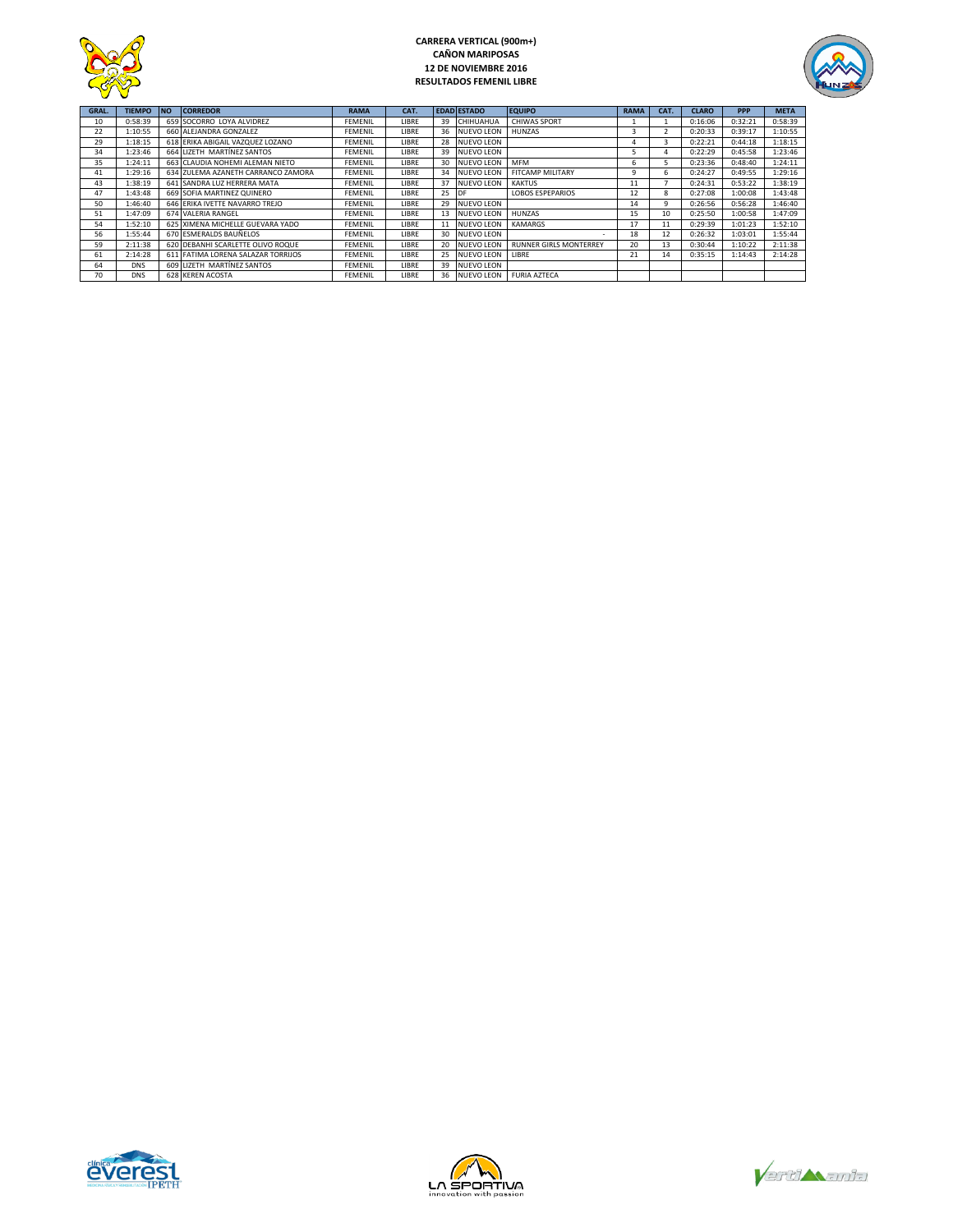

## **CARRERA VERTICAL (900m+) CAÑON MARIPOSAS 12 DE NOVIEMBRE 2016 RESULTADOS FEMENIL LIBRE**



| GRAL. | <b>TIEMPO</b> | <b>NO</b> | <b>CORREDOR</b>                    | <b>RAMA</b>    | CAT.         |    | <b>EDAD ESTADO</b> | <b>EQUIPO</b>                 | <b>RAMA</b> | CAT. | <b>CLARO</b> | <b>PPP</b> | <b>META</b> |
|-------|---------------|-----------|------------------------------------|----------------|--------------|----|--------------------|-------------------------------|-------------|------|--------------|------------|-------------|
| 10    | 0:58:39       |           | 659 SOCORRO LOYA ALVIDREZ          | <b>FEMENIL</b> | <b>LIBRE</b> | 39 | CHIHUAHUA          | <b>CHIWAS SPORT</b>           |             |      | 0:16:06      | 0:32:21    | 0:58:39     |
| 22    | 1:10:55       |           | 660 ALEJANDRA GONZALEZ             | <b>FEMENIL</b> | LIBRE        |    | 36 NUEVO LEON      | HUNZAS                        | 3           |      | 0:20:33      | 0:39:17    | 1:10:55     |
| 29    | 1:18:15       |           | 618 ERIKA ABIGAIL VAZQUEZ LOZANO   | <b>FEMENIL</b> | LIBRE        |    | 28 NUEVO LEON      |                               | 4           |      | 0:22:21      | 0:44:18    | 1:18:15     |
| 34    | 1:23:46       |           | 664 LIZETH MARTÍNEZ SANTOS         | <b>FEMENIL</b> | LIBRE        |    | 39 NUEVO LEON      |                               | 5           | 4    | 0:22:29      | 0:45:58    | 1:23:46     |
| 35    | 1:24:11       |           | 663 CLAUDIA NOHEMI ALEMAN NIETO    | <b>FEMENIL</b> | LIBRE        | 30 | <b>NUEVO LEON</b>  | <b>MFM</b>                    | ь           |      | 0:23:36      | 0:48:40    | 1:24:11     |
| 41    | 1:29:16       |           | 634 ZULEMA AZANETH CARRANCO ZAMORA | <b>FEMENIL</b> | LIBRE        | 34 | <b>NUEVO LEON</b>  | <b>FITCAMP MILITARY</b>       | 9           | 6    | 0:24:27      | 0:49:55    | 1:29:16     |
| 43    | 1:38:19       |           | 641 SANDRA LUZ HERRERA MATA        | <b>FEMENIL</b> | LIBRE        | 37 | <b>NUEVO LEON</b>  | <b>KAKTUS</b>                 | 11          |      | 0:24:31      | 0:53:22    | 1:38:19     |
| 47    | 1:43:48       |           | 669 SOFIA MARTINEZ QUINERO         | <b>FEMENIL</b> | <b>LIBRE</b> | 25 | <b>IDF</b>         | <b>LOBOS ESPEPARIOS</b>       | 12          | 8    | 0:27:08      | 1:00:08    | 1:43:48     |
| 50    | 1:46:40       |           | 646 ERIKA IVETTE NAVARRO TREJO     | <b>FEMENIL</b> | LIBRE        | 29 | <b>NUEVO LEON</b>  |                               | 14          | 9    | 0:26:56      | 0:56:28    | 1:46:40     |
| 51    | 1:47:09       |           | 674 VALERIA RANGEL                 | <b>FEMENIL</b> | <b>LIBRE</b> | 13 | <b>NUEVO LEON</b>  | HUN7AS                        | 15          | 10   | 0:25:50      | 1:00:58    | 1:47:09     |
| 54    | 1:52:10       |           | 625 XIMENA MICHELLE GUEVARA YADO   | <b>FEMENIL</b> | LIBRE        |    | <b>NUEVO LEON</b>  | <b>KAMARGS</b>                | 17          | 11   | 0:29:39      | 1:01:23    | 1:52:10     |
| 56    | 1:55:44       |           | 670 ESMERALDS BAUÑELOS             | <b>FEMENIL</b> | LIBRE        |    | 30 NUEVO LEON      | $\sim$                        | 18          | 12   | 0:26:32      | 1:03:01    | 1:55:44     |
| 59    | 2:11:38       |           | 620 DEBANHI SCARLETTE OLIVO ROQUE  | <b>FEMENIL</b> | LIBRE        | 20 | <b>NUEVO LEON</b>  | <b>RUNNER GIRLS MONTERREY</b> | 20          | 13   | 0:30:44      | 1:10:22    | 2:11:38     |
| 61    | 2:14:28       |           | 611 FATIMA LORENA SALAZAR TORRIJOS | <b>FEMENIL</b> | <b>LIBRE</b> | 25 | <b>NUEVO LEON</b>  | LIBRE                         | 21          | 14   | 0:35:15      | 1:14:43    | 2:14:28     |
| 64    | <b>DNS</b>    |           | 609 LIZETH MARTÍNEZ SANTOS         | <b>FEMENIL</b> | LIBRE        | 39 | <b>NUEVO LEON</b>  |                               |             |      |              |            |             |
| 70    | <b>DNS</b>    |           | 628 KEREN ACOSTA                   | <b>FEMENIL</b> | LIBRE        |    | 36 NUEVO LEON      | <b>FURIA AZTECA</b>           |             |      |              |            |             |





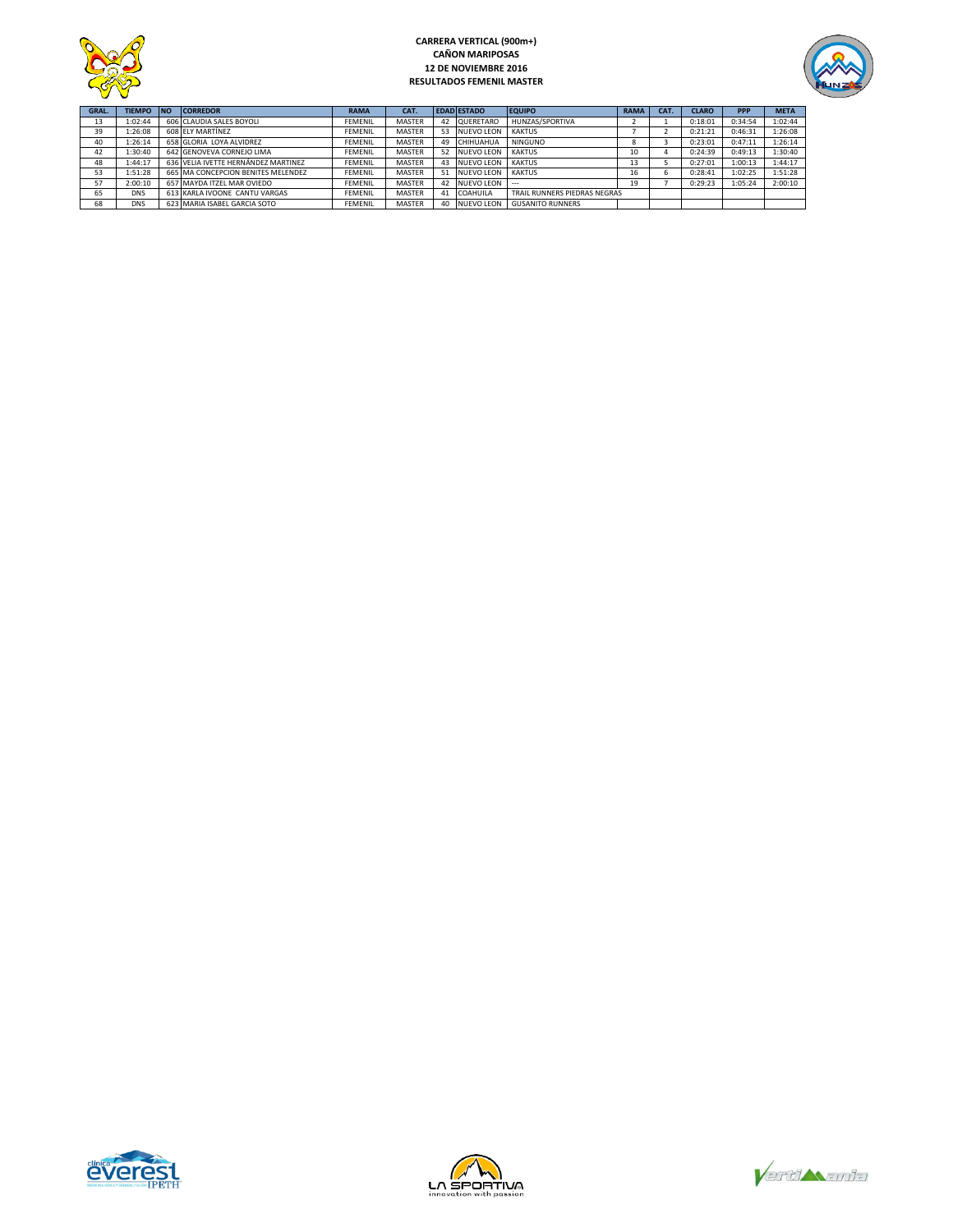



| GRAL. | <b>TIEMPO</b> | <b>INO</b> | <b>CORREDOR</b>                     | <b>RAMA</b>    | CAT.          |    | <b>EDAD ESTADO</b> | <b>EQUIPO</b>                | <b>RAMA</b> | CAT. | <b>CLARO</b> | <b>PPP</b> | <b>META</b> |
|-------|---------------|------------|-------------------------------------|----------------|---------------|----|--------------------|------------------------------|-------------|------|--------------|------------|-------------|
| 13    | 1:02:44       |            | 606 CLAUDIA SALES BOYOLI            | <b>FEMENIL</b> | <b>MASTER</b> | 42 | <b>QUERETARO</b>   | HUNZAS/SPORTIVA              |             |      | 0:18:01      | 0:34:54    | 1:02:44     |
| 39    | 1:26:08       |            | 608 ELY MARTÍNEZ                    | <b>FEMENIL</b> | <b>MASTER</b> | 53 | <b>NUEVO LEON</b>  | <b>KAKTUS</b>                |             |      | 0:21:21      | 0:46:31    | 1:26:08     |
| 40    | 1:26:14       |            | 658 GLORIA LOYA ALVIDREZ            | <b>FFMFNII</b> | <b>MASTER</b> | 49 | CHIHUAHUA          | <b>NINGUNO</b>               |             |      | 0:23:01      | 0:47:11    | 1:26:14     |
| 42    | 1:30:40       |            | 642 GENOVEVA CORNEJO LIMA           | <b>FEMENIL</b> | <b>MASTER</b> | 52 | <b>NUEVO LEON</b>  | <b>KAKTUS</b>                | τU          |      | 0:24:39      | 0:49:13    | 1:30:40     |
| 48    | 1:44:17       |            | 636 VELIA IVETTE HERNÁNDEZ MARTINEZ | <b>FEMENIL</b> | <b>MASTER</b> | 43 | <b>NUEVO LEON</b>  | <b>KAKTUS</b>                | 13          |      | 0:27:01      | 1:00:13    | 1:44:17     |
| 53    | 1:51:28       |            | 665 MA CONCEPCION BENITES MELENDEZ  | <b>FEMENIL</b> | <b>MASTER</b> | 51 | NUEVO LEON         | KAKTUS                       |             |      | 0:28:41      | 1:02:25    | 1:51:28     |
| 57    | 2:00:10       |            | 657 MAYDA ITZEL MAR OVIEDO          | <b>FEMENIL</b> | <b>MASTER</b> | 42 | <b>NUEVO LEON</b>  |                              | 19          |      | 0:29:23      | 1:05:24    | 2:00:10     |
| 65    | <b>DNS</b>    |            | 613 KARLA IVOONE CANTU VARGAS       | <b>FEMENIL</b> | <b>MASTER</b> | 41 | <b>COAHUILA</b>    | TRAIL RUNNERS PIEDRAS NEGRAS |             |      |              |            |             |
| 68    | <b>DNS</b>    |            | 623 MARIA ISABEL GARCIA SOTO        | <b>FEMENIL</b> | <b>MASTER</b> | 40 | <b>NUEVO LEON</b>  | <b>GUSANITO RUNNERS</b>      |             |      |              |            |             |





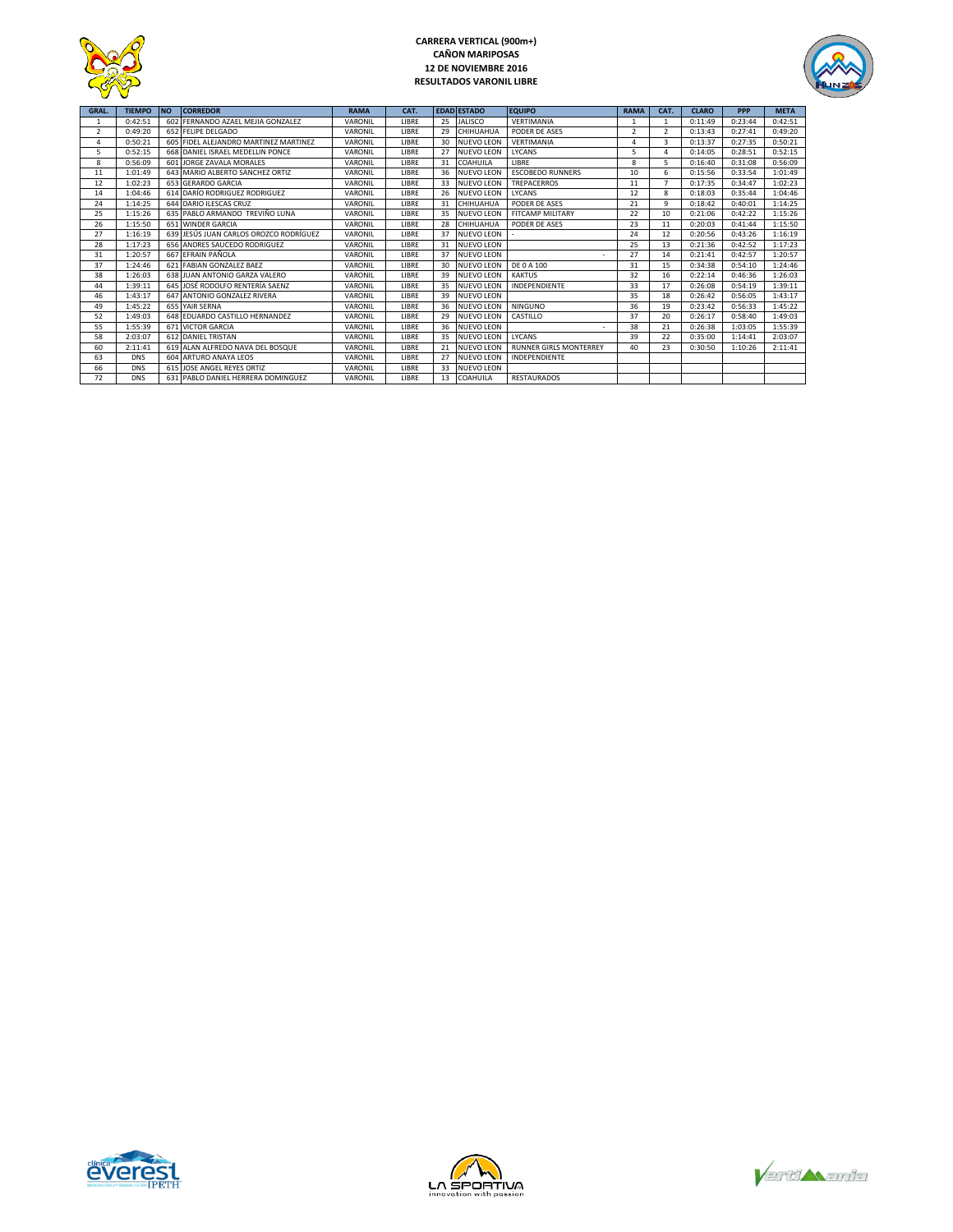

## **CARRERA VERTICAL (900m+) CAÑON MARIPOSAS 12 DE NOVIEMBRE 2016 RESULTADOS VARONIL LIBRE**



| <b>GRAL.</b> | <b>TIEMPO</b> | <b>INO</b> | <b>CORREDOR</b>                        | <b>RAMA</b> | CAT.         |    | <b>EDAD ESTADO</b> | <b>EQUIPO</b>                 | <b>RAMA</b>   | CAT.           | <b>CLARO</b> | <b>PPP</b> | <b>META</b> |
|--------------|---------------|------------|----------------------------------------|-------------|--------------|----|--------------------|-------------------------------|---------------|----------------|--------------|------------|-------------|
| $\mathbf{1}$ | 0:42:51       |            | 602 FERNANDO AZAEL MEJIA GONZALEZ      | VARONIL     | <b>IIBRF</b> | 25 | <b>JALISCO</b>     | VERTIMANIA                    |               | $\mathbf{1}$   | 0:11:49      | 0:23:44    | 0:42:51     |
| 2            | 0:49:20       |            | 652 FELIPE DELGADO                     | VARONIL     | LIBRE        | 29 | CHIHUAHUA          | PODER DE ASES                 | $\mathcal{P}$ | $\overline{2}$ | 0:13:43      | 0:27:41    | 0:49:20     |
| 4            | 0:50:21       |            | 605 FIDEL ALEJANDRO MARTINEZ MARTINEZ  | VARONIL     | LIBRE        | 30 | <b>NUEVO LEON</b>  | VERTIMANIA                    | Δ             | 3              | 0:13:37      | 0:27:35    | 0:50:21     |
| 5            | 0:52:15       |            | 668 DANIEL ISRAEL MEDELLIN PONCE       | VARONIL     | LIBRE        | 27 | <b>NUEVO LEON</b>  | LYCANS                        | 5             | $\overline{4}$ | 0:14:05      | 0:28:51    | 0:52:15     |
| 8            | 0:56:09       |            | 601 JORGE ZAVALA MORALES               | VARONIL     | LIBRE        | 31 | COAHUILA           | <b>I IBRF</b>                 | 8             | 5              | 0:16:40      | 0:31:08    | 0:56:09     |
| 11           | 1:01:49       |            | 643 MARIO ALBERTO SANCHEZ ORTIZ        | VARONIL     | LIBRE        | 36 | <b>NUEVO LEON</b>  | <b>ESCOBEDO RUNNERS</b>       | 10            | 6              | 0:15:56      | 0:33:54    | 1:01:49     |
| 12           | 1:02:23       |            | 653 GERARDO GARCIA                     | VARONIL     | <b>LIBRE</b> | 33 | NUEVO LEON         | TREPACERROS                   | 11            | $\overline{7}$ | 0:17:35      | 0:34:47    | 1:02:23     |
| 14           | 1:04:46       |            | 614 DARÍO RODRIGUEZ RODRIGUEZ          | VARONIL     | <b>LIBRE</b> | 26 | <b>NUEVO LEON</b>  | <b>IYCANS</b>                 | 12            | 8              | 0:18:03      | 0:35:44    | 1:04:46     |
| 24           | 1:14:25       |            | 644 DARIO ILESCAS CRUZ                 | VARONIL     | <b>IIBRF</b> | 31 | CHIHUAHUA          | PODER DE ASES                 | 21            | 9              | 0:18:42      | 0:40:01    | 1:14:25     |
| 25           | 1:15:26       |            | 635 PABLO ARMANDO TREVIÑO LUNA         | VARONIL     | LIBRE        | 35 | <b>NUEVO LEON</b>  | <b>FITCAMP MILITARY</b>       | 22            | 10             | 0:21:06      | 0:42:22    | 1:15:26     |
| 26           | 1:15:50       |            | 651 WINDER GARCIA                      | VARONIL     | <b>LIBRE</b> | 28 | CHIHUAHUA          | PODER DE ASES                 | 23            | 11             | 0:20:03      | 0:41:44    | 1:15:50     |
| 27           | 1:16:19       |            | 639 JESÚS JUAN CARLOS OROZCO RODRÍGUEZ | VARONIL     | LIBRE        | 37 | <b>NUEVO LEON</b>  |                               | 24            | 12             | 0:20:56      | 0:43:26    | 1:16:19     |
| 28           | 1:17:23       |            | 656 ANDRES SAUCEDO RODRIGUEZ           | VARONIL     | <b>LIBRE</b> | 31 | <b>NUEVO LEON</b>  |                               | 25            | 13             | 0:21:36      | 0:42:52    | 1:17:23     |
| 31           | 1:20:57       |            | 667 EFRAIN PAÑOLA                      | VARONIL     | LIBRE        | 37 | <b>NUEVO LEON</b>  |                               | 27            | 14             | 0:21:41      | 0:42:57    | 1:20:57     |
| 37           | 1:24:46       |            | 621 FABIAN GONZALEZ BAEZ               | VARONIL     | <b>LIBRE</b> | 30 | <b>NUEVO LEON</b>  | DE 0 A 100                    | 31            | 15             | 0:34:38      | 0:54:10    | 1:24:46     |
| 38           | 1:26:03       |            | 638 JUAN ANTONIO GARZA VALERO          | VARONIL     | LIBRE        | 39 | <b>NUEVO LEON</b>  | <b>KAKTUS</b>                 | 32            | 16             | 0:22:14      | 0:46:36    | 1:26:03     |
| 44           | 1:39:11       |            | 645 JOSÉ RODOLFO RENTERÍA SAENZ        | VARONIL     | <b>LIBRE</b> | 35 | <b>NUEVO LEON</b>  | INDEPENDIENTE                 | 33            | 17             | 0:26:08      | 0:54:19    | 1:39:11     |
| 46           | 1:43:17       |            | 647 ANTONIO GONZALEZ RIVERA            | VARONIL     | <b>IIBRF</b> | 39 | <b>NUEVO LEON</b>  |                               | 35            | 18             | 0:26:42      | 0:56:05    | 1:43:17     |
| 49           | 1:45:22       |            | 655 YAIR SERNA                         | VARONIL     | <b>IIBRF</b> | 36 | NUEVO LEON         | <b>NINGUNO</b>                | 36            | 19             | 0:23:42      | 0:56:33    | 1:45:22     |
| 52           | 1:49:03       |            | 648 EDUARDO CASTILLO HERNANDEZ         | VARONIL     | LIBRE        | 29 | <b>NUEVO LEON</b>  | CASTILLO                      | 37            | 20             | 0:26:17      | 0:58:40    | 1:49:03     |
| 55           | 1:55:39       |            | <b>671 VICTOR GARCIA</b>               | VARONIL     | LIBRE        | 36 | <b>NUEVO LEON</b>  |                               | 38            | 21             | 0:26:38      | 1:03:05    | 1:55:39     |
| 58           | 2:03:07       |            | 612 DANIEL TRISTAN                     | VARONIL     | LIBRE        | 35 | <b>NUEVO LEON</b>  | <b>LYCANS</b>                 | 39            | 22             | 0:35:00      | 1:14:41    | 2:03:07     |
| 60           | 2:11:41       |            | 619 ALAN ALFREDO NAVA DEL BOSQUE       | VARONIL     | LIBRE        | 21 | <b>NUEVO LEON</b>  | <b>RUNNER GIRLS MONTERREY</b> | 40            | 23             | 0:30:50      | 1:10:26    | 2:11:41     |
| 63           | <b>DNS</b>    |            | 604 ARTURO ANAYA LEOS                  | VARONIL     | LIBRE        | 27 | <b>NUEVO LEON</b>  | INDEPENDIENTE                 |               |                |              |            |             |
| 66           | <b>DNS</b>    |            | 615 JOSE ANGEL REYES ORTIZ             | VARONIL     | <b>IIBRF</b> | 33 | <b>NUEVO LEON</b>  |                               |               |                |              |            |             |
| 72           | <b>DNS</b>    |            | 631 PABLO DANIEL HERRERA DOMINGUEZ     | VARONIL     | LIBRE        | 13 | COAHUILA           | <b>RESTAURADOS</b>            |               |                |              |            |             |